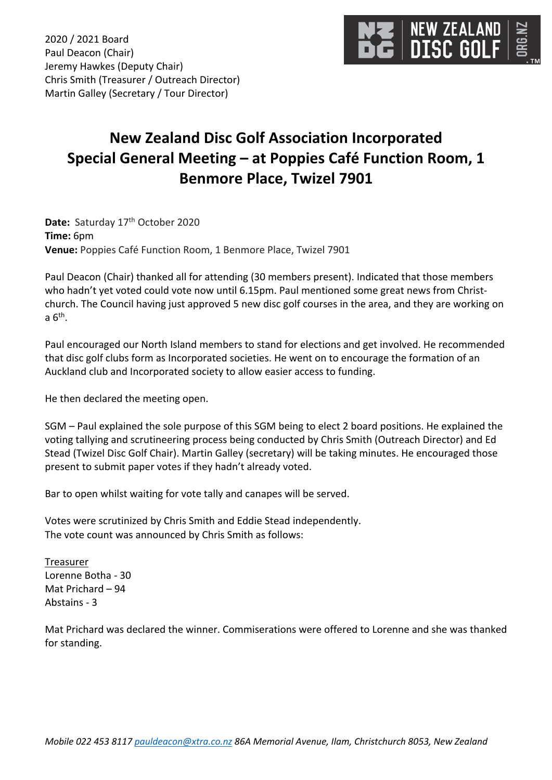

2020 / 2021 Board Paul Deacon (Chair) Jeremy Hawkes (Deputy Chair) Chris Smith (Treasurer / Outreach Director) Martin Galley (Secretary / Tour Director)

## **New Zealand Disc Golf Association Incorporated Special General Meeting – at Poppies Café Function Room, 1 Benmore Place, Twizel 7901**

Date: Saturday 17<sup>th</sup> October 2020 **Time:** 6pm **Venue:** Poppies Café Function Room, 1 Benmore Place, Twizel 7901

Paul Deacon (Chair) thanked all for attending (30 members present). Indicated that those members who hadn't yet voted could vote now until 6.15pm. Paul mentioned some great news from Christchurch. The Council having just approved 5 new disc golf courses in the area, and they are working on a  $6<sup>th</sup>$ .

Paul encouraged our North Island members to stand for elections and get involved. He recommended that disc golf clubs form as Incorporated societies. He went on to encourage the formation of an Auckland club and Incorporated society to allow easier access to funding.

He then declared the meeting open.

SGM – Paul explained the sole purpose of this SGM being to elect 2 board positions. He explained the voting tallying and scrutineering process being conducted by Chris Smith (Outreach Director) and Ed Stead (Twizel Disc Golf Chair). Martin Galley (secretary) will be taking minutes. He encouraged those present to submit paper votes if they hadn't already voted.

Bar to open whilst waiting for vote tally and canapes will be served.

Votes were scrutinized by Chris Smith and Eddie Stead independently. The vote count was announced by Chris Smith as follows:

**Treasurer** Lorenne Botha - 30 Mat Prichard – 94 Abstains - 3

Mat Prichard was declared the winner. Commiserations were offered to Lorenne and she was thanked for standing.